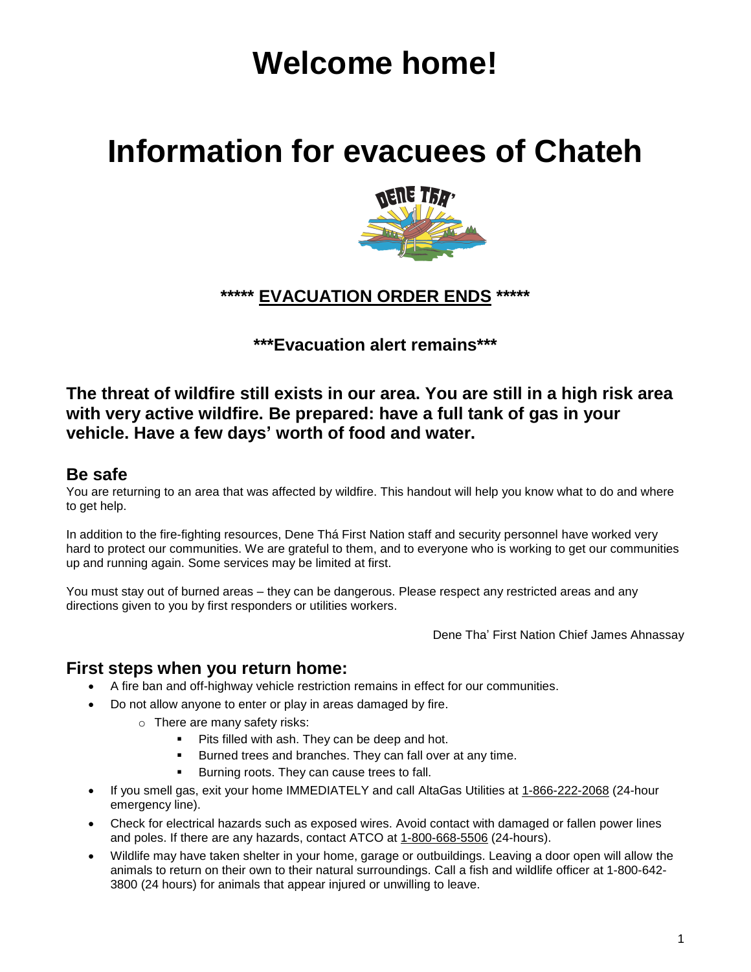# **Welcome home!**

# **Information for evacuees of Chateh**



# **\*\*\*\*\* EVACUATION ORDER ENDS \*\*\*\*\***

**\*\*\*Evacuation alert remains\*\*\***

# **The threat of wildfire still exists in our area. You are still in a high risk area with very active wildfire. Be prepared: have a full tank of gas in your vehicle. Have a few days' worth of food and water.**

## **Be safe**

You are returning to an area that was affected by wildfire. This handout will help you know what to do and where to get help.

In addition to the fire-fighting resources, Dene Thá First Nation staff and security personnel have worked very hard to protect our communities. We are grateful to them, and to everyone who is working to get our communities up and running again. Some services may be limited at first.

You must stay out of burned areas – they can be dangerous. Please respect any restricted areas and any directions given to you by first responders or utilities workers.

Dene Tha' First Nation Chief James Ahnassay

### **First steps when you return home:**

- A fire ban and off-highway vehicle restriction remains in effect for our communities.
- Do not allow anyone to enter or play in areas damaged by fire.
	- o There are many safety risks:
		- Pits filled with ash. They can be deep and hot.
		- Burned trees and branches. They can fall over at any time.
		- Burning roots. They can cause trees to fall.
- If you smell gas, exit your home IMMEDIATELY and call AltaGas Utilities at 1-866-222-2068 (24-hour emergency line).
- Check for electrical hazards such as exposed wires. Avoid contact with damaged or fallen power lines and poles. If there are any hazards, contact ATCO at 1-800-668-5506 (24-hours).
- Wildlife may have taken shelter in your home, garage or outbuildings. Leaving a door open will allow the animals to return on their own to their natural surroundings. Call a fish and wildlife officer at 1-800-642- 3800 (24 hours) for animals that appear injured or unwilling to leave.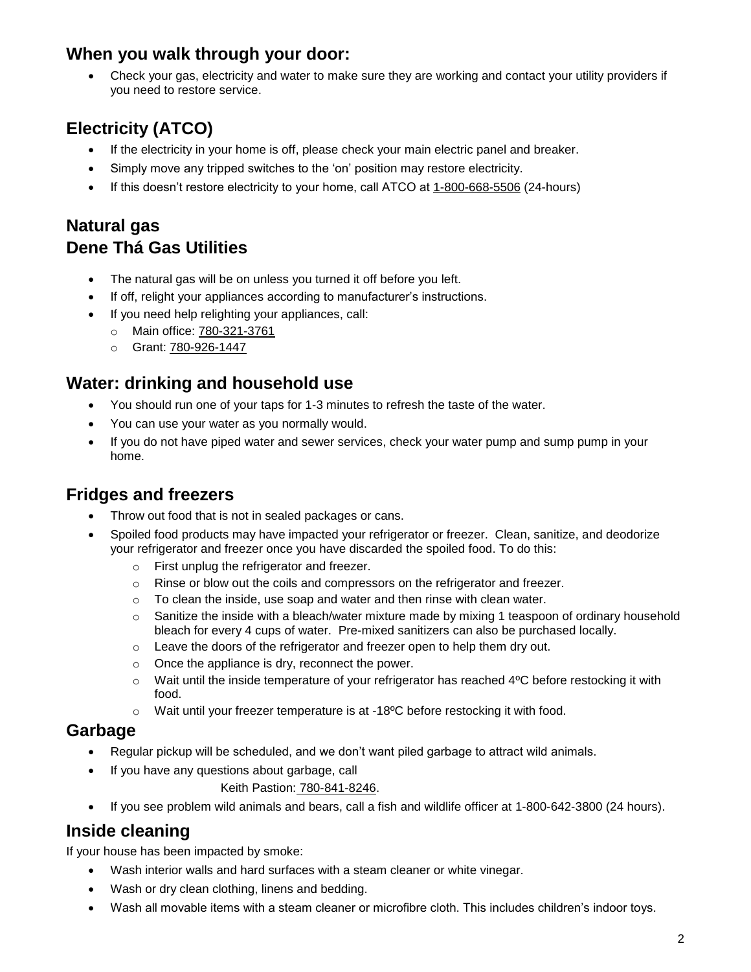# **When you walk through your door:**

• Check your gas, electricity and water to make sure they are working and contact your utility providers if you need to restore service.

# **Electricity (ATCO)**

- If the electricity in your home is off, please check your main electric panel and breaker.
- Simply move any tripped switches to the 'on' position may restore electricity.
- If this doesn't restore electricity to your home, call ATCO at 1-800-668-5506 (24-hours)

# **Natural gas Dene Thá Gas Utilities**

- The natural gas will be on unless you turned it off before you left.
- If off, relight your appliances according to manufacturer's instructions.
- If you need help relighting your appliances, call:
	- o Main office: 780-321-3761
	- o Grant: 780-926-1447

## **Water: drinking and household use**

- You should run one of your taps for 1-3 minutes to refresh the taste of the water.
- You can use your water as you normally would.
- If you do not have piped water and sewer services, check your water pump and sump pump in your home.

# **Fridges and freezers**

- Throw out food that is not in sealed packages or cans.
- Spoiled food products may have impacted your refrigerator or freezer. Clean, sanitize, and deodorize your refrigerator and freezer once you have discarded the spoiled food. To do this:
	- o First unplug the refrigerator and freezer.
	- $\circ$  Rinse or blow out the coils and compressors on the refrigerator and freezer.
	- $\circ$  To clean the inside, use soap and water and then rinse with clean water.
	- $\circ$  Sanitize the inside with a bleach/water mixture made by mixing 1 teaspoon of ordinary household bleach for every 4 cups of water. Pre-mixed sanitizers can also be purchased locally.
	- o Leave the doors of the refrigerator and freezer open to help them dry out.
	- o Once the appliance is dry, reconnect the power.
	- $\circ$  Wait until the inside temperature of your refrigerator has reached 4°C before restocking it with food.
	- $\circ$  Wait until your freezer temperature is at -18 $\degree$ C before restocking it with food.

#### **Garbage**

- Regular pickup will be scheduled, and we don't want piled garbage to attract wild animals.
- If you have any questions about garbage, call
	- Keith Pastion: 780-841-8246.
- If you see problem wild animals and bears, call a fish and wildlife officer at 1-800-642-3800 (24 hours).

### **Inside cleaning**

If your house has been impacted by smoke:

- Wash interior walls and hard surfaces with a steam cleaner or white vinegar.
- Wash or dry clean clothing, linens and bedding.
- Wash all movable items with a steam cleaner or microfibre cloth. This includes children's indoor toys.